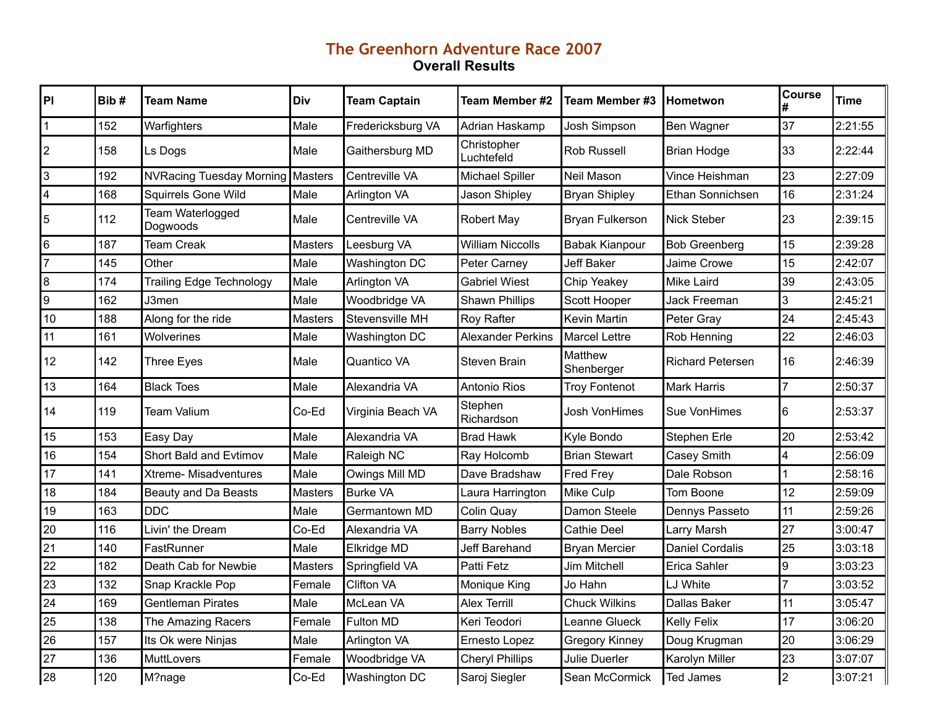## **The Greenhorn Adventure Race 2007 Overall Results**

| PI             | Bib# | <b>Team Name</b>                | <b>Div</b>     | <b>Team Captain</b>  | Team Member #2            | Team Member #3         | Hometwon                | <b>Course</b>  | Time    |
|----------------|------|---------------------------------|----------------|----------------------|---------------------------|------------------------|-------------------------|----------------|---------|
| $\vert$ 1      | 152  | Warfighters                     | Male           | Fredericksburg VA    | Adrian Haskamp            | <b>Josh Simpson</b>    | Ben Wagner              | 37             | 2:21:55 |
| $ 2\rangle$    | 158  | Ls Dogs                         | Male           | Gaithersburg MD      | Christopher<br>Luchtefeld | <b>Rob Russell</b>     | <b>Brian Hodge</b>      | 33             | 2:22:44 |
| 3              | 192  | <b>NVRacing Tuesday Morning</b> | <b>Masters</b> | Centreville VA       | Michael Spiller           | Neil Mason             | Vince Heishman          | 23             | 2:27:09 |
| 4              | 168  | <b>Squirrels Gone Wild</b>      | Male           | Arlington VA         | Jason Shipley             | <b>Bryan Shipley</b>   | Ethan Sonnichsen        | 16             | 2:31:24 |
| $\overline{5}$ | 112  | Team Waterlogged<br>Dogwoods    | Male           | Centreville VA       | Robert May                | <b>Bryan Fulkerson</b> | Nick Steber             | 23             | 2:39:15 |
| 16             | 187  | Team Creak                      | <b>Masters</b> | Leesburg VA          | <b>William Niccolls</b>   | <b>Babak Kianpour</b>  | <b>Bob Greenberg</b>    | 15             | 2:39:28 |
| 7              | 145  | Other                           | Male           | Washington DC        | Peter Carney              | <b>Jeff Baker</b>      | Jaime Crowe             | 15             | 2:42:07 |
| 8              | 174  | <b>Trailing Edge Technology</b> | Male           | <b>Arlington VA</b>  | <b>Gabriel Wiest</b>      | Chip Yeakey            | <b>Mike Laird</b>       | 39             | 2:43:05 |
| g              | 162  | J3men                           | Male           | Woodbridge VA        | <b>Shawn Phillips</b>     | Scott Hooper           | <b>Jack Freeman</b>     | 3              | 2:45:21 |
| 10             | 188  | Along for the ride              | <b>Masters</b> | Stevensville MH      | Roy Rafter                | Kevin Martin           | Peter Gray              | 24             | 2:45:43 |
| 11             | 161  | Wolverines                      | Male           | Washington DC        | <b>Alexander Perkins</b>  | <b>Marcel Lettre</b>   | Rob Henning             | 22             | 2:46:03 |
| 12             | 142  | <b>Three Eyes</b>               | Male           | Quantico VA          | Steven Brain              | Matthew<br>Shenberger  | <b>Richard Petersen</b> | 16             | 2:46:39 |
| 13             | 164  | <b>Black Toes</b>               | Male           | Alexandria VA        | Antonio Rios              | <b>Troy Fontenot</b>   | <b>Mark Harris</b>      | $\overline{7}$ | 2:50:37 |
| 14             | 119  | Team Valium                     | Co-Ed          | Virginia Beach VA    | Stephen<br>Richardson     | Josh VonHimes          | Sue VonHimes            | 6              | 2:53:37 |
| 15             | 153  | Easy Day                        | Male           | Alexandria VA        | <b>Brad Hawk</b>          | Kyle Bondo             | Stephen Erle            | 20             | 2:53:42 |
| 16             | 154  | Short Bald and Evtimov          | Male           | Raleigh NC           | Ray Holcomb               | <b>Brian Stewart</b>   | Casey Smith             | 4              | 2:56:09 |
| 17             | 141  | Xtreme- Misadventures           | Male           | Owings Mill MD       | Dave Bradshaw             | <b>Fred Frey</b>       | Dale Robson             |                | 2:58:16 |
| 18             | 184  | <b>Beauty and Da Beasts</b>     | Masters        | <b>Burke VA</b>      | Laura Harrington          | Mike Culp              | Tom Boone               | 12             | 2:59:09 |
| 19             | 163  | <b>DDC</b>                      | Male           | Germantown MD        | Colin Quay                | Damon Steele           | Dennys Passeto          | 11             | 2:59:26 |
| 20             | 116  | Livin' the Dream                | Co-Ed          | Alexandria VA        | <b>Barry Nobles</b>       | Cathie Deel            | Larry Marsh             | 27             | 3:00:47 |
| 21             | 140  | FastRunner                      | Male           | Elkridge MD          | Jeff Barehand             | <b>Bryan Mercier</b>   | <b>Daniel Cordalis</b>  | 25             | 3:03:18 |
| 22             | 182  | Death Cab for Newbie            | <b>Masters</b> | Springfield VA       | <b>Patti Fetz</b>         | Jim Mitchell           | Erica Sahler            | 9              | 3:03:23 |
| 23             | 132  | Snap Krackle Pop                | Female         | Clifton VA           | Monique King              | Jo Hahn                | LJ White                | $\overline{7}$ | 3:03:52 |
| 24             | 169  | <b>Gentleman Pirates</b>        | Male           | McLean VA            | <b>Alex Terrill</b>       | <b>Chuck Wilkins</b>   | <b>Dallas Baker</b>     | 11             | 3:05:47 |
| 25             | 138  | The Amazing Racers              | Female         | Fulton MD            | Keri Teodori              | Leanne Glueck          | <b>Kelly Felix</b>      | 17             | 3:06:20 |
| 26             | 157  | Its Ok were Ninjas              | Male           | Arlington VA         | Ernesto Lopez             | <b>Gregory Kinney</b>  | Doug Krugman            | 20             | 3:06:29 |
| 27             | 136  | MuttLovers                      | Female         | Woodbridge VA        | <b>Cheryl Phillips</b>    | Julie Duerler          | Karolyn Miller          | 23             | 3:07:07 |
| 28             | 120  | M?nage                          | Co-Ed          | <b>Washington DC</b> | Saroj Siegler             | Sean McCormick         | Ted James               | $\vert$ 2      | 3:07:21 |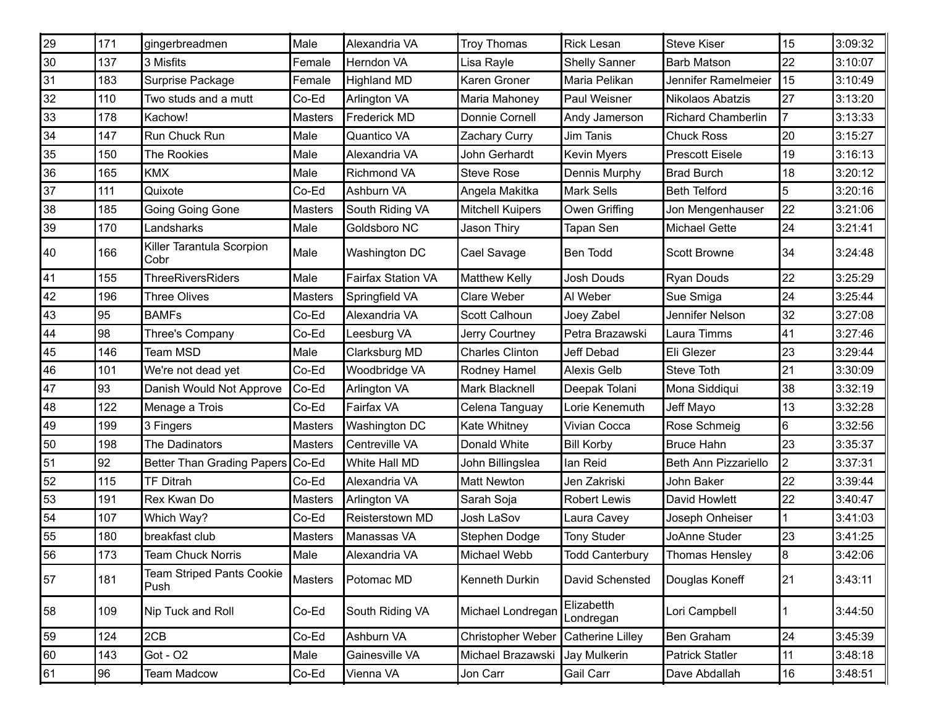| 29 | 171 | gingerbreadmen                           | Male           | Alexandria VA             | <b>Troy Thomas</b>      | Rick Lesan              | <b>Steve Kiser</b>        | 15             | 3:09:32 |
|----|-----|------------------------------------------|----------------|---------------------------|-------------------------|-------------------------|---------------------------|----------------|---------|
| 30 | 137 | 3 Misfits                                | Female         | Herndon VA                | Lisa Rayle              | <b>Shelly Sanner</b>    | <b>Barb Matson</b>        | 22             | 3:10:07 |
| 31 | 183 | Surprise Package                         | Female         | <b>Highland MD</b>        | Karen Groner            | Maria Pelikan           | Jennifer Ramelmeier       | 15             | 3:10:49 |
| 32 | 110 | Two studs and a mutt                     | Co-Ed          | <b>Arlington VA</b>       | Maria Mahoney           | Paul Weisner            | Nikolaos Abatzis          | 27             | 3:13:20 |
| 33 | 178 | Kachow!                                  | <b>Masters</b> | <b>Frederick MD</b>       | Donnie Cornell          | Andy Jamerson           | <b>Richard Chamberlin</b> |                | 3:13:33 |
| 34 | 147 | Run Chuck Run                            | Male           | Quantico VA               | Zachary Curry           | Jim Tanis               | <b>Chuck Ross</b>         | 20             | 3:15:27 |
| 35 | 150 | The Rookies                              | Male           | Alexandria VA             | John Gerhardt           | <b>Kevin Myers</b>      | <b>Prescott Eisele</b>    | 19             | 3:16:13 |
| 36 | 165 | <b>KMX</b>                               | Male           | <b>Richmond VA</b>        | <b>Steve Rose</b>       | Dennis Murphy           | <b>Brad Burch</b>         | 18             | 3:20:12 |
| 37 | 111 | Quixote                                  | Co-Ed          | Ashburn VA                | Angela Makitka          | Mark Sells              | <b>Beth Telford</b>       | 5              | 3:20:16 |
| 38 | 185 | Going Going Gone                         | <b>Masters</b> | South Riding VA           | <b>Mitchell Kuipers</b> | Owen Griffing           | Jon Mengenhauser          | 22             | 3:21:06 |
| 39 | 170 | Landsharks                               | Male           | Goldsboro NC              | Jason Thiry             | Tapan Sen               | Michael Gette             | 24             | 3:21:41 |
| 40 | 166 | Killer Tarantula Scorpion<br>Cobr        | Male           | Washington DC             | Cael Savage             | Ben Todd                | Scott Browne              | 34             | 3:24:48 |
| 41 | 155 | <b>ThreeRiversRiders</b>                 | Male           | <b>Fairfax Station VA</b> | <b>Matthew Kelly</b>    | Josh Douds              | <b>Ryan Douds</b>         | 22             | 3:25:29 |
| 42 | 196 | <b>Three Olives</b>                      | <b>Masters</b> | Springfield VA            | Clare Weber             | Al Weber                | Sue Smiga                 | 24             | 3:25:44 |
| 43 | 95  | <b>BAMFs</b>                             | Co-Ed          | Alexandria VA             | Scott Calhoun           | Joey Zabel              | Jennifer Nelson           | 32             | 3:27:08 |
| 44 | 98  | Three's Company                          | Co-Ed          | Leesburg VA               | Jerry Courtney          | Petra Brazawski         | Laura Timms               | 41             | 3:27:46 |
| 45 | 146 | Team MSD                                 | Male           | Clarksburg MD             | <b>Charles Clinton</b>  | Jeff Debad              | Eli Glezer                | 23             | 3:29:44 |
| 46 | 101 | We're not dead yet                       | Co-Ed          | Woodbridge VA             | Rodney Hamel            | Alexis Gelb             | Steve Toth                | 21             | 3:30:09 |
| 47 | 93  | Danish Would Not Approve                 | Co-Ed          | <b>Arlington VA</b>       | Mark Blacknell          | Deepak Tolani           | Mona Siddiqui             | 38             | 3:32:19 |
| 48 | 122 | Menage a Trois                           | Co-Ed          | Fairfax VA                | Celena Tanguay          | Lorie Kenemuth          | Jeff Mayo                 | 13             | 3:32:28 |
| 49 | 199 | 3 Fingers                                | <b>Masters</b> | Washington DC             | Kate Whitney            | Vivian Cocca            | Rose Schmeig              | 6              | 3:32:56 |
| 50 | 198 | The Dadinators                           | <b>Masters</b> | Centreville VA            | Donald White            | <b>Bill Korby</b>       | <b>Bruce Hahn</b>         | 23             | 3:35:37 |
| 51 | 92  | Better Than Grading Papers               | Co-Ed          | White Hall MD             | John Billingslea        | lan Reid                | Beth Ann Pizzariello      | $\overline{2}$ | 3:37:31 |
| 52 | 115 | <b>TF Ditrah</b>                         | Co-Ed          | Alexandria VA             | <b>Matt Newton</b>      | Jen Zakriski            | John Baker                | 22             | 3:39:44 |
| 53 | 191 | Rex Kwan Do                              | Masters        | Arlington VA              | Sarah Soja              | <b>Robert Lewis</b>     | David Howlett             | 22             | 3:40:47 |
| 54 | 107 | Which Way?                               | Co-Ed          | Reisterstown MD           | Josh LaSov              | Laura Cavey             | Joseph Onheiser           |                | 3:41:03 |
| 55 | 180 | breakfast club                           | <b>Masters</b> | Manassas VA               | Stephen Dodge           | <b>Tony Studer</b>      | JoAnne Studer             | 23             | 3:41:25 |
| 56 | 173 | <b>Team Chuck Norris</b>                 | Male           | Alexandria VA             | Michael Webb            | Todd Canterbury         | Thomas Hensley            | l8             | 3:42:06 |
| 57 | 181 | <b>Team Striped Pants Cookie</b><br>Push | <b>Masters</b> | Potomac MD                | Kenneth Durkin          | David Schensted         | Douglas Koneff            | 21             | 3:43:11 |
| 58 | 109 | Nip Tuck and Roll                        | Co-Ed          | South Riding VA           | Michael Londregan       | Elizabetth<br>Londregan | Lori Campbell             |                | 3:44:50 |
| 59 | 124 | 2CB                                      | Co-Ed          | Ashburn VA                | Christopher Weber       | Catherine Lilley        | Ben Graham                | 24             | 3:45:39 |
| 60 | 143 | Got - O2                                 | Male           | Gainesville VA            | Michael Brazawski       | Jay Mulkerin            | Patrick Statler           | 11             | 3:48:18 |
| 61 | 96  | Team Madcow                              | Co-Ed          | Vienna VA                 | Jon Carr                | Gail Carr               | Dave Abdallah             | 16             | 3:48:51 |
|    |     |                                          |                |                           |                         |                         |                           |                |         |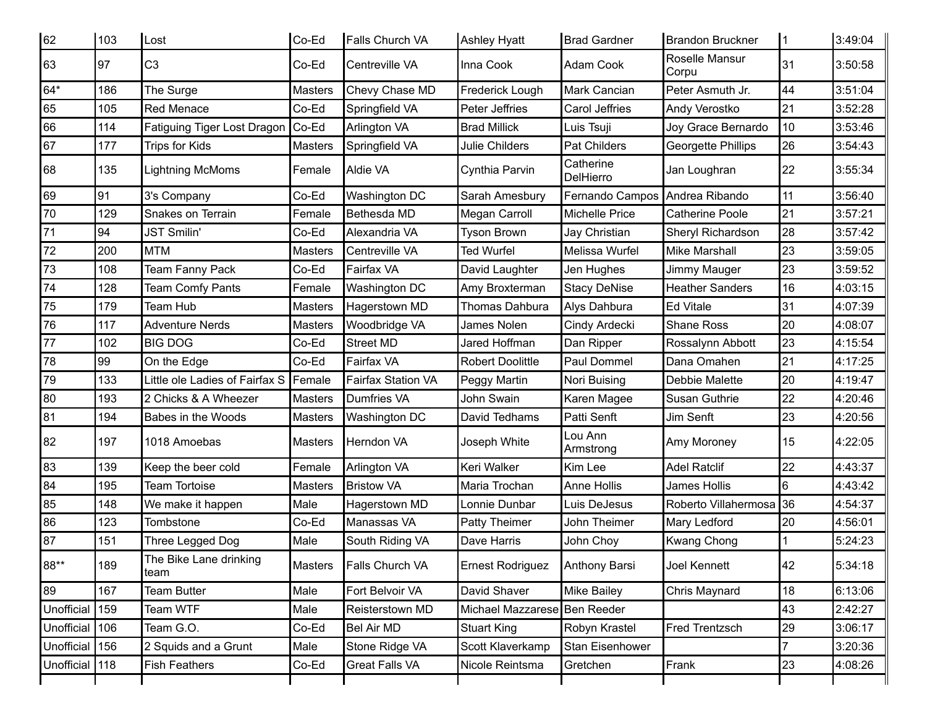| 62             | 103 | Lost                           | Co-Ed          | Falls Church VA     | Ashley Hyatt                 | <b>Brad Gardner</b>            | Brandon Bruckner        | 1              | 3:49:04 |
|----------------|-----|--------------------------------|----------------|---------------------|------------------------------|--------------------------------|-------------------------|----------------|---------|
| 63             | 97  | C <sub>3</sub>                 | Co-Ed          | Centreville VA      | Inna Cook                    | Adam Cook                      | Roselle Mansur<br>Corpu | 31             | 3:50:58 |
| 64*            | 186 | The Surge                      | <b>Masters</b> | Chevy Chase MD      | Frederick Lough              | Mark Cancian                   | Peter Asmuth Jr.        | 44             | 3:51:04 |
| 65             | 105 | Red Menace                     | Co-Ed          | Springfield VA      | Peter Jeffries               | Carol Jeffries                 | Andy Verostko           | 21             | 3:52:28 |
| 66             | 114 | Fatiguing Tiger Lost Dragon    | Co-Ed          | <b>Arlington VA</b> | <b>Brad Millick</b>          | Luis Tsuji                     | Joy Grace Bernardo      | 10             | 3:53:46 |
| 67             | 177 | <b>Trips for Kids</b>          | <b>Masters</b> | Springfield VA      | <b>Julie Childers</b>        | Pat Childers                   | Georgette Phillips      | 26             | 3:54:43 |
| 86             | 135 | Lightning McMoms               | Female         | Aldie VA            | Cynthia Parvin               | Catherine<br>DelHierro         | Jan Loughran            | 22             | 3:55:34 |
| 69             | 91  | 3's Company                    | Co-Ed          | Washington DC       | Sarah Amesbury               | Fernando Campos Andrea Ribando |                         | 11             | 3:56:40 |
| 70             | 129 | Snakes on Terrain              | Female         | Bethesda MD         | Megan Carroll                | Michelle Price                 | Catherine Poole         | 21             | 3:57:21 |
| 71             | 94  | JST Smilin'                    | Co-Ed          | Alexandria VA       | <b>Tyson Brown</b>           | Jay Christian                  | Sheryl Richardson       | 28             | 3:57:42 |
| 72             | 200 | <b>MTM</b>                     | <b>Masters</b> | Centreville VA      | <b>Ted Wurfel</b>            | Melissa Wurfel                 | Mike Marshall           | 23             | 3:59:05 |
| 73             | 108 | <b>Team Fanny Pack</b>         | Co-Ed          | Fairfax VA          | David Laughter               | Jen Hughes                     | Jimmy Mauger            | 23             | 3:59:52 |
| 74             | 128 | Team Comfy Pants               | Female         | Washington DC       | Amy Broxterman               | <b>Stacy DeNise</b>            | <b>Heather Sanders</b>  | 16             | 4:03:15 |
| 75             | 179 | Team Hub                       | Masters        | Hagerstown MD       | <b>Thomas Dahbura</b>        | Alys Dahbura                   | <b>Ed Vitale</b>        | 31             | 4:07:39 |
| 76             | 117 | <b>Adventure Nerds</b>         | <b>Masters</b> | Woodbridge VA       | James Nolen                  | Cindy Ardecki                  | Shane Ross              | 20             | 4:08:07 |
| 77             | 102 | <b>BIG DOG</b>                 | Co-Ed          | <b>Street MD</b>    | Jared Hoffman                | Dan Ripper                     | Rossalynn Abbott        | 23             | 4:15:54 |
| 78             | 99  | On the Edge                    | Co-Ed          | Fairfax VA          | <b>Robert Doolittle</b>      | Paul Dommel                    | Dana Omahen             | 21             | 4:17:25 |
| 79             | 133 | Little ole Ladies of Fairfax S | Female         | Fairfax Station VA  | Peggy Martin                 | Nori Buising                   | Debbie Malette          | 20             | 4:19:47 |
| 80             | 193 | 2 Chicks & A Wheezer           | <b>Masters</b> | Dumfries VA         | John Swain                   | Karen Magee                    | Susan Guthrie           | 22             | 4:20:46 |
| 81             | 194 | Babes in the Woods             | <b>Masters</b> | Washington DC       | David Tedhams                | Patti Senft                    | Jim Senft               | 23             | 4:20:56 |
| 82             | 197 | 1018 Amoebas                   | Masters        | Herndon VA          | Joseph White                 | Lou Ann<br>Armstrong           | Amy Moroney             | 15             | 4:22:05 |
| 83             | 139 | Keep the beer cold             | Female         | <b>Arlington VA</b> | Keri Walker                  | Kim Lee                        | <b>Adel Ratclif</b>     | 22             | 4:43:37 |
| 84             | 195 | <b>Team Tortoise</b>           | <b>Masters</b> | <b>Bristow VA</b>   | Maria Trochan                | Anne Hollis                    | James Hollis            | 6              | 4:43:42 |
| 85             | 148 | We make it happen              | Male           | Hagerstown MD       | Lonnie Dunbar                | Luis DeJesus                   | Roberto Villahermosa 36 |                | 4:54:37 |
| 86             | 123 | Tombstone                      | Co-Ed          | Manassas VA         | Patty Theimer                | John Theimer                   | Mary Ledford            | 20             | 4:56:01 |
| 87             | 151 | Three Legged Dog               | Male           | South Riding VA     | Dave Harris                  | John Choy                      | Kwang Chong             |                | 5:24:23 |
| 88**           | 189 | The Bike Lane drinking<br>team | <b>Masters</b> | Falls Church VA     | Ernest Rodriguez             | Anthony Barsi                  | Joel Kennett            | 42             | 5:34:18 |
| 89             | 167 | <b>Team Butter</b>             | Male           | Fort Belvoir VA     | David Shaver                 | Mike Bailey                    | Chris Maynard           | 18             | 6:13:06 |
| Unofficial 159 |     | Team WTF                       | Male           | Reisterstown MD     | Michael Mazzarese Ben Reeder |                                |                         | 43             | 2:42:27 |
| Unofficial 106 |     | Team G.O.                      | Co-Ed          | Bel Air MD          | Stuart King                  | Robyn Krastel                  | Fred Trentzsch          | 29             | 3:06:17 |
| Unofficial 156 |     | 2 Squids and a Grunt           | Male           | Stone Ridge VA      | Scott Klaverkamp             | Stan Eisenhower                |                         | $\overline{7}$ | 3:20:36 |
| Unofficial 118 |     | <b>Fish Feathers</b>           | Co-Ed          | Great Falls VA      | Nicole Reintsma              | Gretchen                       | Frank                   | 23             | 4:08:26 |
|                |     |                                |                |                     |                              |                                |                         |                |         |